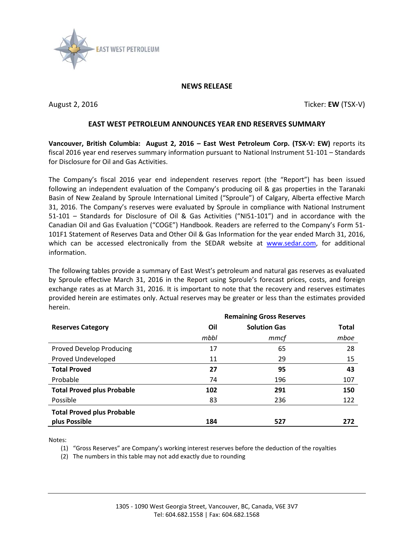

## **NEWS RELEASE**

August 2, 2016 **Ticker: EW** (TSX-V)

## **EAST WEST PETROLEUM ANNOUNCES YEAR END RESERVES SUMMARY**

**Vancouver, British Columbia: August 2, 2016 – East West Petroleum Corp. (TSX-V: EW)** reports its fiscal 2016 year end reserves summary information pursuant to National Instrument 51-101 – Standards for Disclosure for Oil and Gas Activities.

The Company's fiscal 2016 year end independent reserves report (the "Report") has been issued following an independent evaluation of the Company's producing oil & gas properties in the Taranaki Basin of New Zealand by Sproule International Limited ("Sproule") of Calgary, Alberta effective March 31, 2016. The Company's reserves were evaluated by Sproule in compliance with National Instrument 51-101 – Standards for Disclosure of Oil & Gas Activities ("NI51-101") and in accordance with the Canadian Oil and Gas Evaluation ("COGE") Handbook. Readers are referred to the Company's Form 51- 101F1 Statement of Reserves Data and Other Oil & Gas Information for the year ended March 31, 2016, which can be accessed electronically from the SEDAR website at [www.sedar.com,](http://www.sedar.com/) for additional information.

The following tables provide a summary of East West's petroleum and natural gas reserves as evaluated by Sproule effective March 31, 2016 in the Report using Sproule's forecast prices, costs, and foreign exchange rates as at March 31, 2016. It is important to note that the recovery and reserves estimates provided herein are estimates only. Actual reserves may be greater or less than the estimates provided herein.

|                                   |      | <b>Remaining Gross Reserves</b> |              |
|-----------------------------------|------|---------------------------------|--------------|
| <b>Reserves Category</b>          | Oil  | <b>Solution Gas</b>             | <b>Total</b> |
|                                   | mbbl | mmcf                            | mboe         |
| <b>Proved Develop Producing</b>   | 17   | 65                              | 28           |
| Proved Undeveloped                | 11   | 29                              | 15           |
| <b>Total Proved</b>               | 27   | 95                              | 43           |
| Probable                          | 74   | 196                             | 107          |
| <b>Total Proved plus Probable</b> | 102  | 291                             | 150          |
| Possible                          | 83   | 236                             | 122          |
| <b>Total Proved plus Probable</b> |      |                                 |              |
| plus Possible                     | 184  | 527                             | 272          |

Notes:

(1) "Gross Reserves" are Company's working interest reserves before the deduction of the royalties

(2) The numbers in this table may not add exactly due to rounding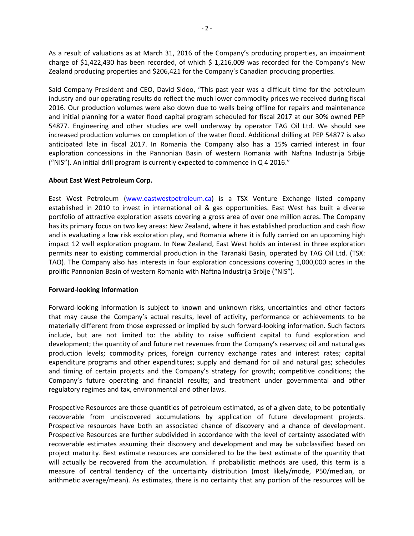As a result of valuations as at March 31, 2016 of the Company's producing properties, an impairment charge of \$1,422,430 has been recorded, of which \$ 1,216,009 was recorded for the Company's New Zealand producing properties and \$206,421 for the Company's Canadian producing properties.

Said Company President and CEO, David Sidoo, "This past year was a difficult time for the petroleum industry and our operating results do reflect the much lower commodity prices we received during fiscal 2016. Our production volumes were also down due to wells being offline for repairs and maintenance and initial planning for a water flood capital program scheduled for fiscal 2017 at our 30% owned PEP 54877. Engineering and other studies are well underway by operator TAG Oil Ltd. We should see increased production volumes on completion of the water flood. Additional drilling at PEP 54877 is also anticipated late in fiscal 2017. In Romania the Company also has a 15% carried interest in four exploration concessions in the Pannonian Basin of western Romania with Naftna Industrija Srbije ("NIS"). An initial drill program is currently expected to commence in Q 4 2016."

## **About East West Petroleum Corp.**

East West Petroleum [\(www.eastwestpetroleum.ca\)](http://www.eastwestpetroleum.ca/) is a TSX Venture Exchange listed company established in 2010 to invest in international oil & gas opportunities. East West has built a diverse portfolio of attractive exploration assets covering a gross area of over one million acres. The Company has its primary focus on two key areas: New Zealand, where it has established production and cash flow and is evaluating a low risk exploration play, and Romania where it is fully carried on an upcoming high impact 12 well exploration program. In New Zealand, East West holds an interest in three exploration permits near to existing commercial production in the Taranaki Basin, operated by TAG Oil Ltd. (TSX: TAO). The Company also has interests in four exploration concessions covering 1,000,000 acres in the prolific Pannonian Basin of western Romania with Naftna Industrija Srbije ("NIS").

## **Forward-looking Information**

Forward-looking information is subject to known and unknown risks, uncertainties and other factors that may cause the Company's actual results, level of activity, performance or achievements to be materially different from those expressed or implied by such forward-looking information. Such factors include, but are not limited to: the ability to raise sufficient capital to fund exploration and development; the quantity of and future net revenues from the Company's reserves; oil and natural gas production levels; commodity prices, foreign currency exchange rates and interest rates; capital expenditure programs and other expenditures; supply and demand for oil and natural gas; schedules and timing of certain projects and the Company's strategy for growth; competitive conditions; the Company's future operating and financial results; and treatment under governmental and other regulatory regimes and tax, environmental and other laws.

Prospective Resources are those quantities of petroleum estimated, as of a given date, to be potentially recoverable from undiscovered accumulations by application of future development projects. Prospective resources have both an associated chance of discovery and a chance of development. Prospective Resources are further subdivided in accordance with the level of certainty associated with recoverable estimates assuming their discovery and development and may be subclassified based on project maturity. Best estimate resources are considered to be the best estimate of the quantity that will actually be recovered from the accumulation. If probabilistic methods are used, this term is a measure of central tendency of the uncertainty distribution (most likely/mode, P50/median, or arithmetic average/mean). As estimates, there is no certainty that any portion of the resources will be